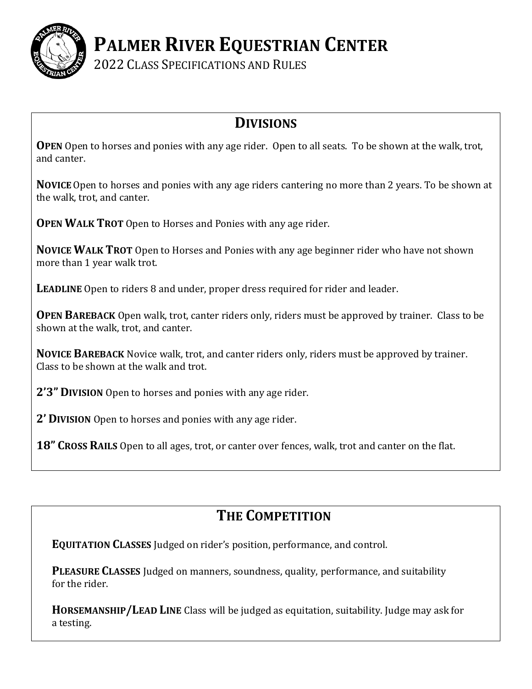

**PALMER RIVER EQUESTRIAN CENTER**

2022 CLASS SPECIFICATIONS AND RULES

## **DIVISIONS**

**OPEN** Open to horses and ponies with any age rider. Open to all seats. To be shown at the walk, trot, and canter.

**NOVICE**Open to horses and ponies with any age riders cantering no more than 2 years. To be shown at the walk, trot, and canter.

**OPEN WALK TROT** Open to Horses and Ponies with any age rider.

**NOVICE WALK TROT** Open to Horses and Ponies with any age beginner rider who have not shown more than 1 year walk trot.

**LEADLINE** Open to riders 8 and under, proper dress required for rider and leader.

**OPEN BAREBACK** Open walk, trot, canter riders only, riders must be approved by trainer. Class to be shown at the walk, trot, and canter.

**NOVICE BAREBACK** Novice walk, trot, and canter riders only, riders must be approved by trainer. Class to be shown at the walk and trot.

**2'3" DIVISION** Open to horses and ponies with any age rider.

**2' DIVISION** Open to horses and ponies with any age rider.

**18" CROSS RAILS** Open to all ages, trot, or canter over fences, walk, trot and canter on the flat.

## **THE COMPETITION**

**EQUITATION CLASSES** Judged on rider's position, performance, and control.

**PLEASURE CLASSES** Judged on manners, soundness, quality, performance, and suitability for the rider.

**HORSEMANSHIP/LEAD LINE** Class will be judged as equitation, suitability. Judge may ask for a testing.